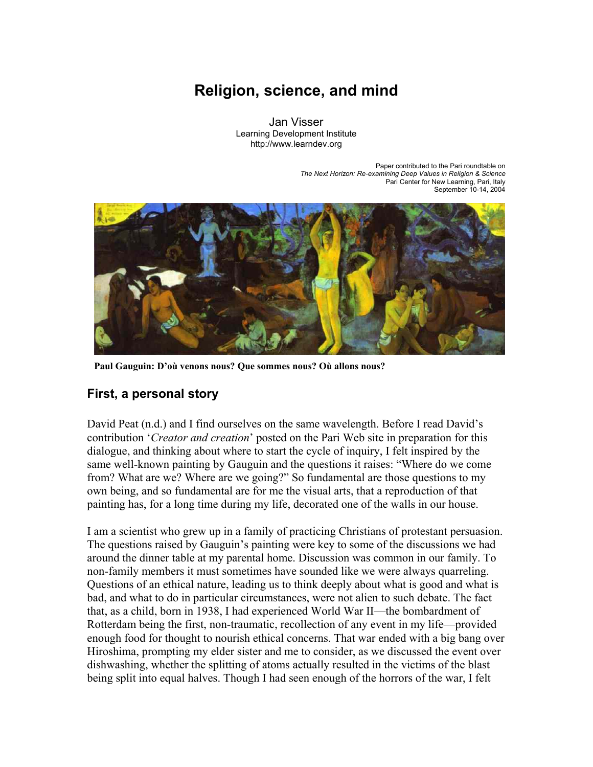# **Religion, science, and mind**

Jan Visser Learning Development Institute http://www.learndev.org

> Paper contributed to the Pari roundtable on *The Next Horizon: Re-examining Deep Values in Religion & Science*  Pari Center for New Learning, Pari, Italy September 10-14, 2004



**Paul Gauguin: D'où venons nous? Que sommes nous? Où allons nous?** 

#### **First, a personal story**

David Peat (n.d.) and I find ourselves on the same wavelength. Before I read David's contribution '*Creator and creation*' posted on the Pari Web site in preparation for this dialogue, and thinking about where to start the cycle of inquiry, I felt inspired by the same well-known painting by Gauguin and the questions it raises: "Where do we come from? What are we? Where are we going?" So fundamental are those questions to my own being, and so fundamental are for me the visual arts, that a reproduction of that painting has, for a long time during my life, decorated one of the walls in our house.

I am a scientist who grew up in a family of practicing Christians of protestant persuasion. The questions raised by Gauguin's painting were key to some of the discussions we had around the dinner table at my parental home. Discussion was common in our family. To non-family members it must sometimes have sounded like we were always quarreling. Questions of an ethical nature, leading us to think deeply about what is good and what is bad, and what to do in particular circumstances, were not alien to such debate. The fact that, as a child, born in 1938, I had experienced World War II—the bombardment of Rotterdam being the first, non-traumatic, recollection of any event in my life—provided enough food for thought to nourish ethical concerns. That war ended with a big bang over Hiroshima, prompting my elder sister and me to consider, as we discussed the event over dishwashing, whether the splitting of atoms actually resulted in the victims of the blast being split into equal halves. Though I had seen enough of the horrors of the war, I felt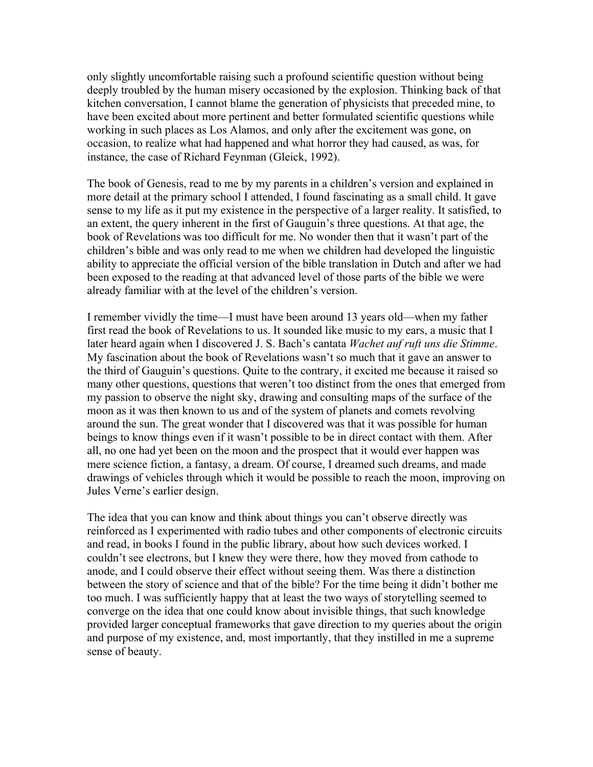only slightly uncomfortable raising such a profound scientific question without being deeply troubled by the human misery occasioned by the explosion. Thinking back of that kitchen conversation, I cannot blame the generation of physicists that preceded mine, to have been excited about more pertinent and better formulated scientific questions while working in such places as Los Alamos, and only after the excitement was gone, on occasion, to realize what had happened and what horror they had caused, as was, for instance, the case of Richard Feynman (Gleick, 1992).

The book of Genesis, read to me by my parents in a children's version and explained in more detail at the primary school I attended, I found fascinating as a small child. It gave sense to my life as it put my existence in the perspective of a larger reality. It satisfied, to an extent, the query inherent in the first of Gauguin's three questions. At that age, the book of Revelations was too difficult for me. No wonder then that it wasn't part of the children's bible and was only read to me when we children had developed the linguistic ability to appreciate the official version of the bible translation in Dutch and after we had been exposed to the reading at that advanced level of those parts of the bible we were already familiar with at the level of the children's version.

I remember vividly the time—I must have been around 13 years old—when my father first read the book of Revelations to us. It sounded like music to my ears, a music that I later heard again when I discovered J. S. Bach's cantata *Wachet auf ruft uns die Stimme*. My fascination about the book of Revelations wasn't so much that it gave an answer to the third of Gauguin's questions. Quite to the contrary, it excited me because it raised so many other questions, questions that weren't too distinct from the ones that emerged from my passion to observe the night sky, drawing and consulting maps of the surface of the moon as it was then known to us and of the system of planets and comets revolving around the sun. The great wonder that I discovered was that it was possible for human beings to know things even if it wasn't possible to be in direct contact with them. After all, no one had yet been on the moon and the prospect that it would ever happen was mere science fiction, a fantasy, a dream. Of course, I dreamed such dreams, and made drawings of vehicles through which it would be possible to reach the moon, improving on Jules Verne's earlier design.

The idea that you can know and think about things you can't observe directly was reinforced as I experimented with radio tubes and other components of electronic circuits and read, in books I found in the public library, about how such devices worked. I couldn't see electrons, but I knew they were there, how they moved from cathode to anode, and I could observe their effect without seeing them. Was there a distinction between the story of science and that of the bible? For the time being it didn't bother me too much. I was sufficiently happy that at least the two ways of storytelling seemed to converge on the idea that one could know about invisible things, that such knowledge provided larger conceptual frameworks that gave direction to my queries about the origin and purpose of my existence, and, most importantly, that they instilled in me a supreme sense of beauty.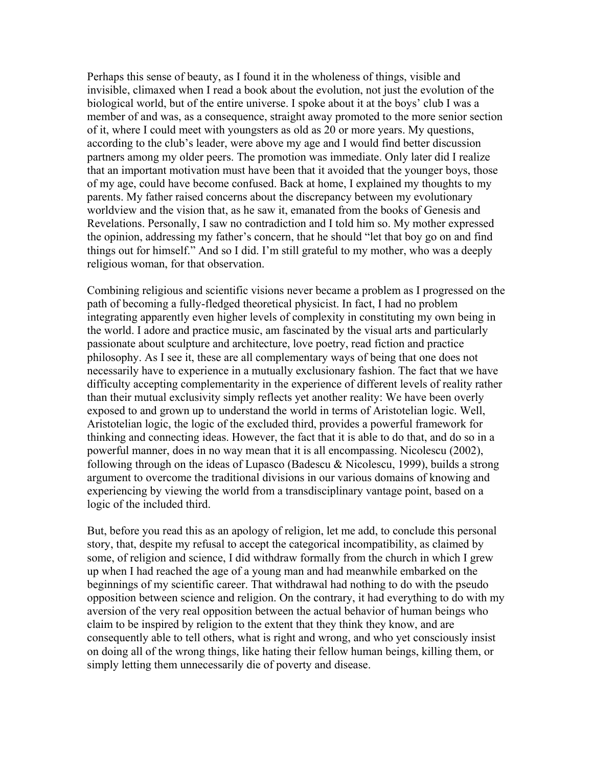Perhaps this sense of beauty, as I found it in the wholeness of things, visible and invisible, climaxed when I read a book about the evolution, not just the evolution of the biological world, but of the entire universe. I spoke about it at the boys' club I was a member of and was, as a consequence, straight away promoted to the more senior section of it, where I could meet with youngsters as old as 20 or more years. My questions, according to the club's leader, were above my age and I would find better discussion partners among my older peers. The promotion was immediate. Only later did I realize that an important motivation must have been that it avoided that the younger boys, those of my age, could have become confused. Back at home, I explained my thoughts to my parents. My father raised concerns about the discrepancy between my evolutionary worldview and the vision that, as he saw it, emanated from the books of Genesis and Revelations. Personally, I saw no contradiction and I told him so. My mother expressed the opinion, addressing my father's concern, that he should "let that boy go on and find things out for himself." And so I did. I'm still grateful to my mother, who was a deeply religious woman, for that observation.

Combining religious and scientific visions never became a problem as I progressed on the path of becoming a fully-fledged theoretical physicist. In fact, I had no problem integrating apparently even higher levels of complexity in constituting my own being in the world. I adore and practice music, am fascinated by the visual arts and particularly passionate about sculpture and architecture, love poetry, read fiction and practice philosophy. As I see it, these are all complementary ways of being that one does not necessarily have to experience in a mutually exclusionary fashion. The fact that we have difficulty accepting complementarity in the experience of different levels of reality rather than their mutual exclusivity simply reflects yet another reality: We have been overly exposed to and grown up to understand the world in terms of Aristotelian logic. Well, Aristotelian logic, the logic of the excluded third, provides a powerful framework for thinking and connecting ideas. However, the fact that it is able to do that, and do so in a powerful manner, does in no way mean that it is all encompassing. Nicolescu (2002), following through on the ideas of Lupasco (Badescu  $\&$  Nicolescu, 1999), builds a strong argument to overcome the traditional divisions in our various domains of knowing and experiencing by viewing the world from a transdisciplinary vantage point, based on a logic of the included third.

But, before you read this as an apology of religion, let me add, to conclude this personal story, that, despite my refusal to accept the categorical incompatibility, as claimed by some, of religion and science, I did withdraw formally from the church in which I grew up when I had reached the age of a young man and had meanwhile embarked on the beginnings of my scientific career. That withdrawal had nothing to do with the pseudo opposition between science and religion. On the contrary, it had everything to do with my aversion of the very real opposition between the actual behavior of human beings who claim to be inspired by religion to the extent that they think they know, and are consequently able to tell others, what is right and wrong, and who yet consciously insist on doing all of the wrong things, like hating their fellow human beings, killing them, or simply letting them unnecessarily die of poverty and disease.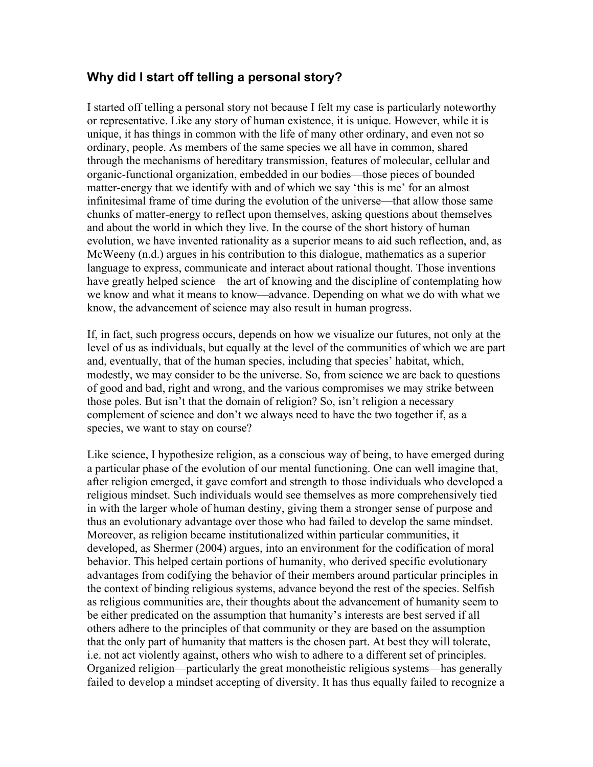### **Why did I start off telling a personal story?**

I started off telling a personal story not because I felt my case is particularly noteworthy or representative. Like any story of human existence, it is unique. However, while it is unique, it has things in common with the life of many other ordinary, and even not so ordinary, people. As members of the same species we all have in common, shared through the mechanisms of hereditary transmission, features of molecular, cellular and organic-functional organization, embedded in our bodies—those pieces of bounded matter-energy that we identify with and of which we say 'this is me' for an almost infinitesimal frame of time during the evolution of the universe—that allow those same chunks of matter-energy to reflect upon themselves, asking questions about themselves and about the world in which they live. In the course of the short history of human evolution, we have invented rationality as a superior means to aid such reflection, and, as McWeeny (n.d.) argues in his contribution to this dialogue, mathematics as a superior language to express, communicate and interact about rational thought. Those inventions have greatly helped science—the art of knowing and the discipline of contemplating how we know and what it means to know—advance. Depending on what we do with what we know, the advancement of science may also result in human progress.

If, in fact, such progress occurs, depends on how we visualize our futures, not only at the level of us as individuals, but equally at the level of the communities of which we are part and, eventually, that of the human species, including that species' habitat, which, modestly, we may consider to be the universe. So, from science we are back to questions of good and bad, right and wrong, and the various compromises we may strike between those poles. But isn't that the domain of religion? So, isn't religion a necessary complement of science and don't we always need to have the two together if, as a species, we want to stay on course?

Like science, I hypothesize religion, as a conscious way of being, to have emerged during a particular phase of the evolution of our mental functioning. One can well imagine that, after religion emerged, it gave comfort and strength to those individuals who developed a religious mindset. Such individuals would see themselves as more comprehensively tied in with the larger whole of human destiny, giving them a stronger sense of purpose and thus an evolutionary advantage over those who had failed to develop the same mindset. Moreover, as religion became institutionalized within particular communities, it developed, as Shermer (2004) argues, into an environment for the codification of moral behavior. This helped certain portions of humanity, who derived specific evolutionary advantages from codifying the behavior of their members around particular principles in the context of binding religious systems, advance beyond the rest of the species. Selfish as religious communities are, their thoughts about the advancement of humanity seem to be either predicated on the assumption that humanity's interests are best served if all others adhere to the principles of that community or they are based on the assumption that the only part of humanity that matters is the chosen part. At best they will tolerate, i.e. not act violently against, others who wish to adhere to a different set of principles. Organized religion—particularly the great monotheistic religious systems—has generally failed to develop a mindset accepting of diversity. It has thus equally failed to recognize a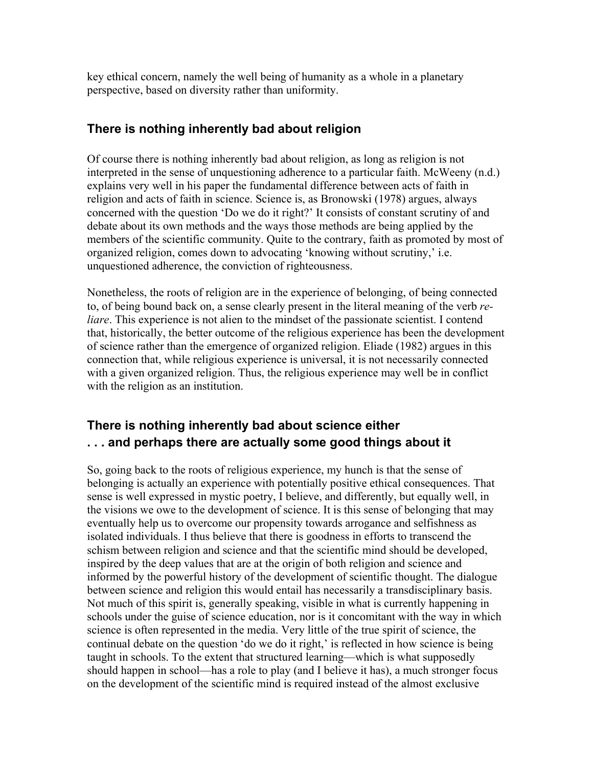key ethical concern, namely the well being of humanity as a whole in a planetary perspective, based on diversity rather than uniformity.

#### **There is nothing inherently bad about religion**

Of course there is nothing inherently bad about religion, as long as religion is not interpreted in the sense of unquestioning adherence to a particular faith. McWeeny (n.d.) explains very well in his paper the fundamental difference between acts of faith in religion and acts of faith in science. Science is, as Bronowski (1978) argues, always concerned with the question 'Do we do it right?' It consists of constant scrutiny of and debate about its own methods and the ways those methods are being applied by the members of the scientific community. Quite to the contrary, faith as promoted by most of organized religion, comes down to advocating 'knowing without scrutiny,' i.e. unquestioned adherence, the conviction of righteousness.

Nonetheless, the roots of religion are in the experience of belonging, of being connected to, of being bound back on, a sense clearly present in the literal meaning of the verb *reliare*. This experience is not alien to the mindset of the passionate scientist. I contend that, historically, the better outcome of the religious experience has been the development of science rather than the emergence of organized religion. Eliade (1982) argues in this connection that, while religious experience is universal, it is not necessarily connected with a given organized religion. Thus, the religious experience may well be in conflict with the religion as an institution.

## **There is nothing inherently bad about science either . . . and perhaps there are actually some good things about it**

So, going back to the roots of religious experience, my hunch is that the sense of belonging is actually an experience with potentially positive ethical consequences. That sense is well expressed in mystic poetry, I believe, and differently, but equally well, in the visions we owe to the development of science. It is this sense of belonging that may eventually help us to overcome our propensity towards arrogance and selfishness as isolated individuals. I thus believe that there is goodness in efforts to transcend the schism between religion and science and that the scientific mind should be developed, inspired by the deep values that are at the origin of both religion and science and informed by the powerful history of the development of scientific thought. The dialogue between science and religion this would entail has necessarily a transdisciplinary basis. Not much of this spirit is, generally speaking, visible in what is currently happening in schools under the guise of science education, nor is it concomitant with the way in which science is often represented in the media. Very little of the true spirit of science, the continual debate on the question 'do we do it right,' is reflected in how science is being taught in schools. To the extent that structured learning—which is what supposedly should happen in school—has a role to play (and I believe it has), a much stronger focus on the development of the scientific mind is required instead of the almost exclusive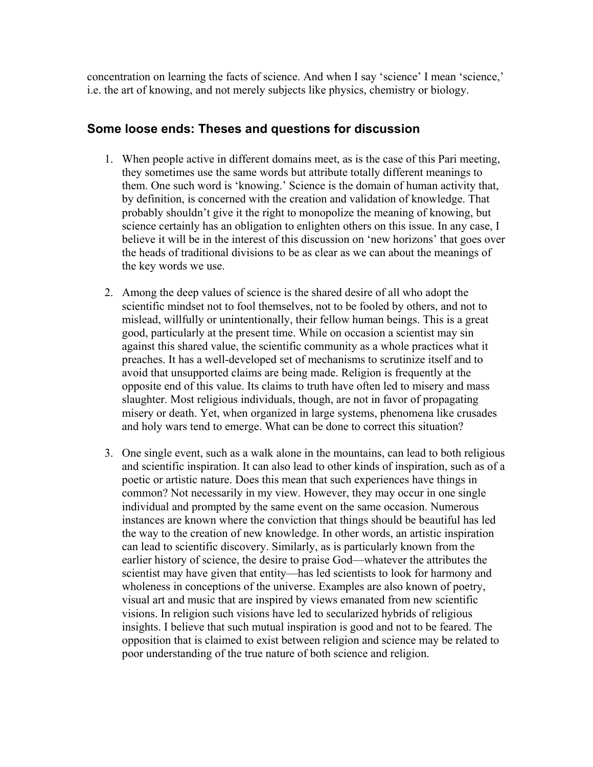concentration on learning the facts of science. And when I say 'science' I mean 'science,' i.e. the art of knowing, and not merely subjects like physics, chemistry or biology.

#### **Some loose ends: Theses and questions for discussion**

- 1. When people active in different domains meet, as is the case of this Pari meeting, they sometimes use the same words but attribute totally different meanings to them. One such word is 'knowing.' Science is the domain of human activity that, by definition, is concerned with the creation and validation of knowledge. That probably shouldn't give it the right to monopolize the meaning of knowing, but science certainly has an obligation to enlighten others on this issue. In any case, I believe it will be in the interest of this discussion on 'new horizons' that goes over the heads of traditional divisions to be as clear as we can about the meanings of the key words we use.
- 2. Among the deep values of science is the shared desire of all who adopt the scientific mindset not to fool themselves, not to be fooled by others, and not to mislead, willfully or unintentionally, their fellow human beings. This is a great good, particularly at the present time. While on occasion a scientist may sin against this shared value, the scientific community as a whole practices what it preaches. It has a well-developed set of mechanisms to scrutinize itself and to avoid that unsupported claims are being made. Religion is frequently at the opposite end of this value. Its claims to truth have often led to misery and mass slaughter. Most religious individuals, though, are not in favor of propagating misery or death. Yet, when organized in large systems, phenomena like crusades and holy wars tend to emerge. What can be done to correct this situation?
- 3. One single event, such as a walk alone in the mountains, can lead to both religious and scientific inspiration. It can also lead to other kinds of inspiration, such as of a poetic or artistic nature. Does this mean that such experiences have things in common? Not necessarily in my view. However, they may occur in one single individual and prompted by the same event on the same occasion. Numerous instances are known where the conviction that things should be beautiful has led the way to the creation of new knowledge. In other words, an artistic inspiration can lead to scientific discovery. Similarly, as is particularly known from the earlier history of science, the desire to praise God—whatever the attributes the scientist may have given that entity—has led scientists to look for harmony and wholeness in conceptions of the universe. Examples are also known of poetry, visual art and music that are inspired by views emanated from new scientific visions. In religion such visions have led to secularized hybrids of religious insights. I believe that such mutual inspiration is good and not to be feared. The opposition that is claimed to exist between religion and science may be related to poor understanding of the true nature of both science and religion.